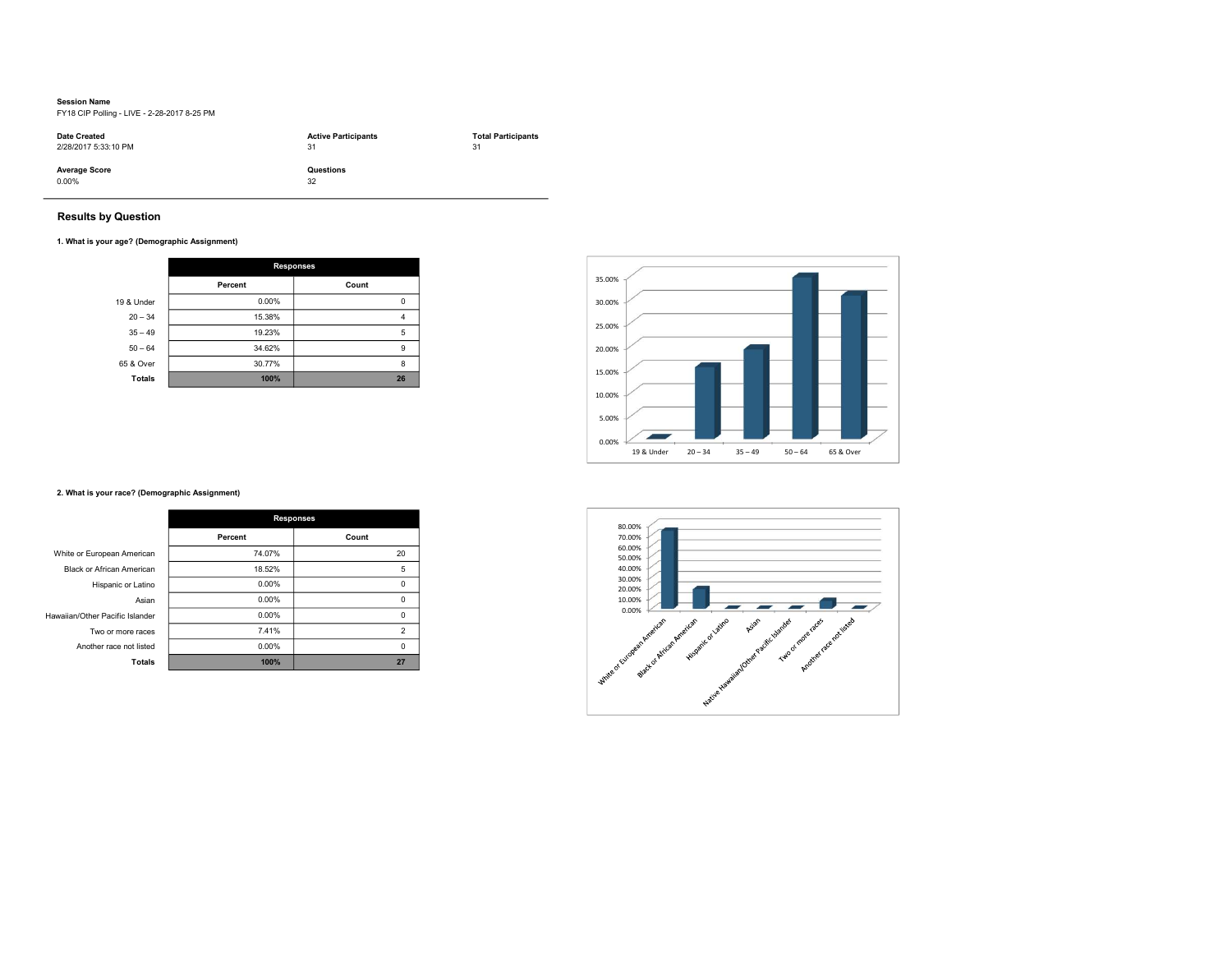# Session Name

FY18 CIP Polling - LIVE - 2-28-2017 8-25 PM

| <b>Date Created</b>              | <b>Active Participants</b> | <b>Total Participants</b> |
|----------------------------------|----------------------------|---------------------------|
| 2/28/2017 5:33:10 PM             | 31                         | 31                        |
| <b>Average Score</b><br>$0.00\%$ | Questions<br>32            |                           |

# Results by Question

### 1. What is your age? (Demographic Assignment)

|               | <b>Responses</b> |       |
|---------------|------------------|-------|
|               | Percent          | Count |
| 19 & Under    | 0.00%            | 0     |
| $20 - 34$     | 15.38%           | 4     |
| $35 - 49$     | 19.23%           | 5     |
| $50 - 64$     | 34.62%           | 9     |
| 65 & Over     | 30.77%           | 8     |
| <b>Totals</b> | 100%             | 26    |



# 2. What is your race? (Demographic Assignment)

|                                 | <b>Responses</b> |                         |
|---------------------------------|------------------|-------------------------|
|                                 | Percent          | Count                   |
| White or European American      | 74.07%           | 20                      |
| Black or African American       | 18.52%           | 5                       |
| Hispanic or Latino              | 0.00%            | 0                       |
| Asian                           | 0.00%            | $\Omega$                |
| Hawaiian/Other Pacific Islander | 0.00%            | 0                       |
| Two or more races               | 7.41%            | $\overline{\mathbf{c}}$ |
| Another race not listed         | 0.00%            | $\Omega$                |
| <b>Totals</b>                   | 100%             | 27                      |

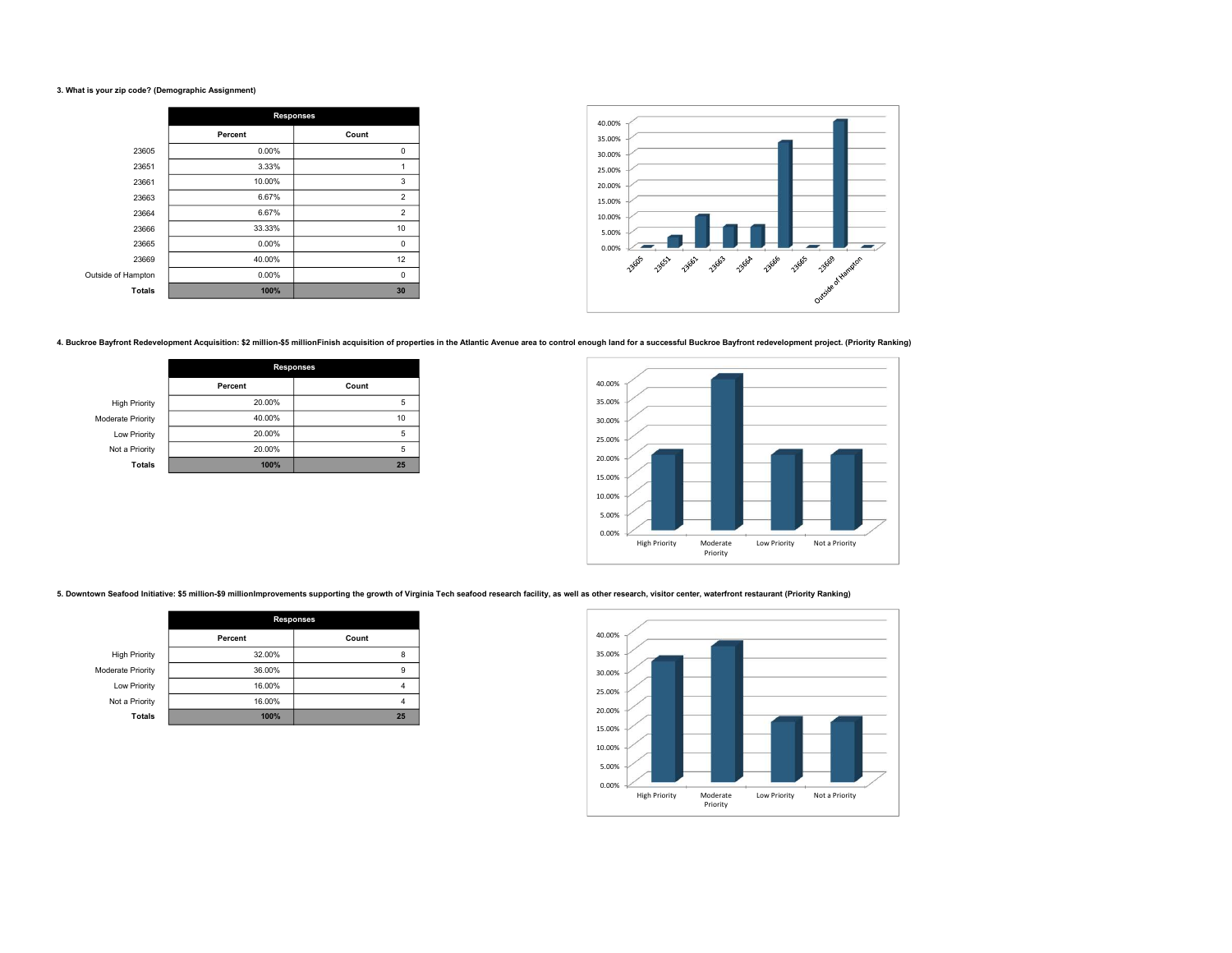### 3. What is your zip code? (Demographic Assignment)

|                    | <b>Responses</b> |                |
|--------------------|------------------|----------------|
|                    | Percent          | Count          |
| 23605              | 0.00%            | 0              |
| 23651              | 3.33%            | 1              |
| 23661              | 10.00%           | 3              |
| 23663              | 6.67%            | $\overline{2}$ |
| 23664              | 6.67%            | $\overline{c}$ |
| 23666              | 33.33%           | 10             |
| 23665              | 0.00%            | 0              |
| 23669              | 40.00%           | 12             |
| Outside of Hampton | 0.00%            | 0              |
| <b>Totals</b>      | 100%             | 30             |



4. Buckroe Bayfront Redevelopment Acquisition: \$2 million-\$5 million-Finish acquisition of properties in the Atlantic Avenue area to control enough land for a successful Buckroe Bayfront redevelopment project. (Priority Ra

|                      | <b>Responses</b> |       |
|----------------------|------------------|-------|
|                      | Percent          | Count |
| <b>High Priority</b> | 20.00%           | 5     |
| Moderate Priority    | 40.00%           | 10    |
| Low Priority         | 20.00%           | 5     |
| Not a Priority       | 20.00%           | 5     |
| <b>Totals</b>        | 100%             | 25    |



5. Downtown Seafood Initiative: \$5 million-\$9 millionImprovements supporting the growth of Virginia Tech seafood research facility, as well as other research, visitor center, waterfront restaurant (Priority Ranking)

|                      | <b>Responses</b> |       |
|----------------------|------------------|-------|
|                      | Percent          | Count |
| <b>High Priority</b> | 32.00%           | 8     |
| Moderate Priority    | 36.00%           | 9     |
| Low Priority         | 16.00%           |       |
| Not a Priority       | 16.00%           | 4     |
| <b>Totals</b>        | 100%             | 25    |

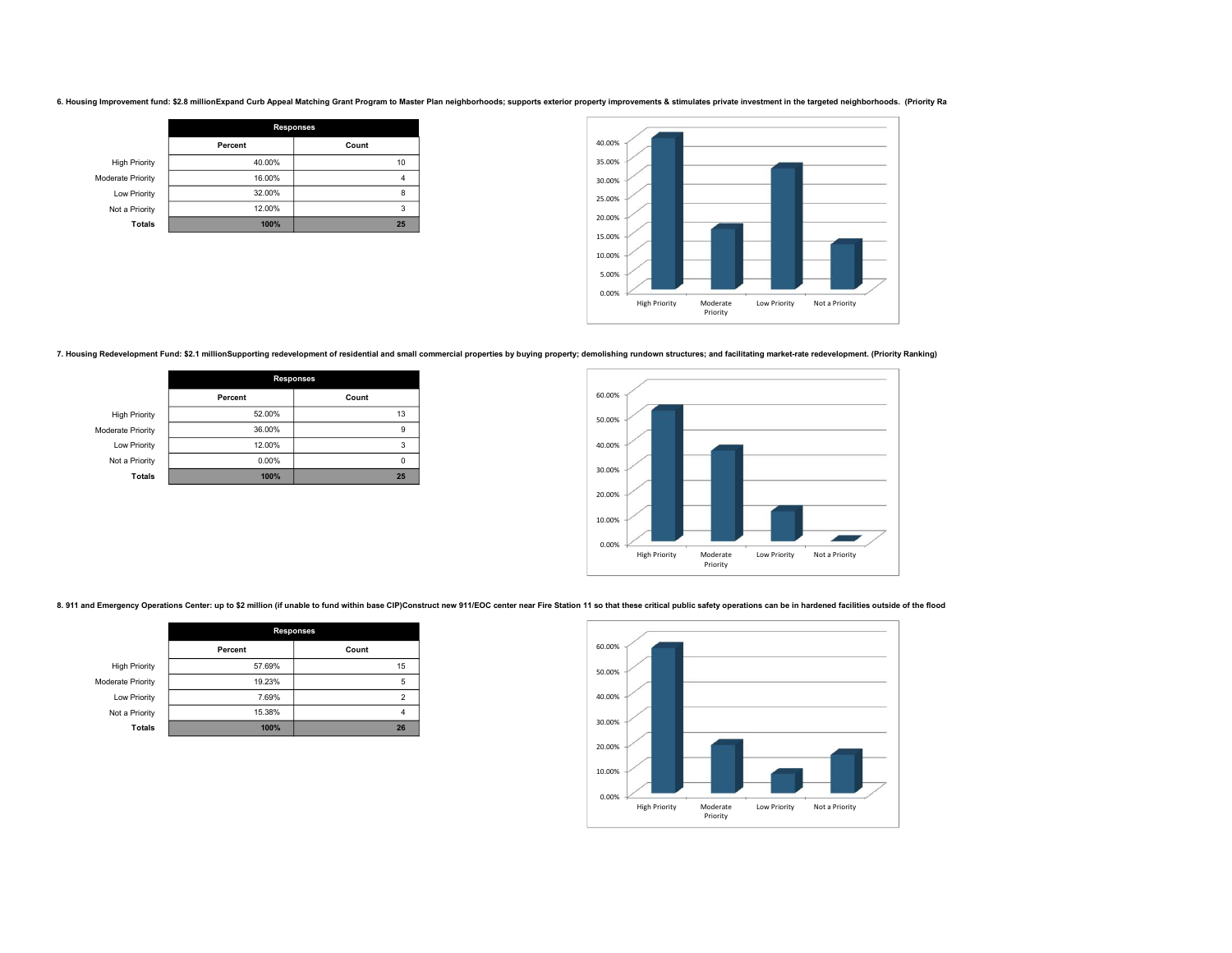6. Housing Improvement fund: \$2.8 millionExpand Curb Appeal Matching Grant Program to Master Plan neighborhoods; supports exterior property improvements & stimulates private investment in the targeted neighborhoods. (Prior

|                      | <b>Responses</b> |       |
|----------------------|------------------|-------|
|                      | Percent          | Count |
| <b>High Priority</b> | 40.00%           | 10    |
| Moderate Priority    | 16.00%           |       |
| Low Priority         | 32.00%           | 8     |
| Not a Priority       | 12.00%           | 3     |
| <b>Totals</b>        | 100%             | 25    |



7. Housing Redevelopment Fund: \$2.1 millionSupporting redevelopment of residential and small commercial properties by buying property; demolishing rundown structures; and facilitating market-rate redevelopment. (Priority R

|                      | <b>Responses</b> |       |
|----------------------|------------------|-------|
|                      | Percent          | Count |
| <b>High Priority</b> | 52.00%           | 13    |
| Moderate Priority    | 36.00%           | 9     |
| Low Priority         | 12.00%           | 3     |
| Not a Priority       | 0.00%            |       |
| <b>Totals</b>        | 100%             | 25    |



8.911 and Emergency Operations Center: up to \$2 million (if unable to fund within base CIP)Construct new 911/EOC center near Fire Station 11 so that these critical public safety operations can be in hardened facilities out

|                      | <b>Responses</b> |       |
|----------------------|------------------|-------|
|                      | Percent          | Count |
| <b>High Priority</b> | 57.69%           | 15    |
| Moderate Priority    | 19.23%           | 5     |
| Low Priority         | 7.69%            | 2     |
| Not a Priority       | 15.38%           | 4     |
| <b>Totals</b>        | 100%             | 26    |

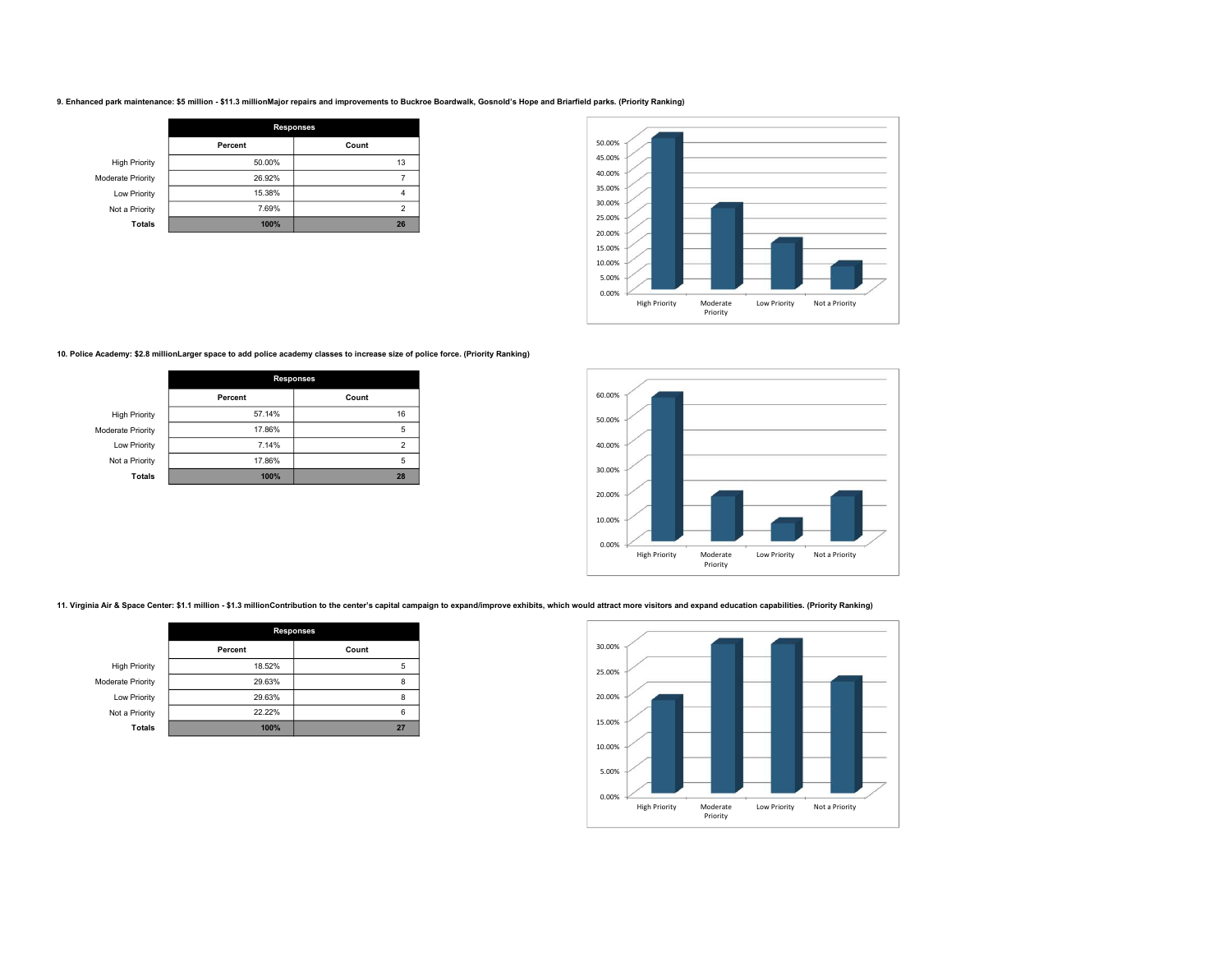#### 9. Enhanced park maintenance: \$5 million - \$11.3 millionMajor repairs and improvements to Buckroe Boardwalk, Gosnold's Hope and Briarfield parks. (Priority Ranking)

|                      | <b>Responses</b> |                |
|----------------------|------------------|----------------|
|                      | Percent          | Count          |
| <b>High Priority</b> | 50.00%           | 13             |
| Moderate Priority    | 26.92%           |                |
| Low Priority         | 15.38%           |                |
| Not a Priority       | 7.69%            | $\mathfrak{p}$ |
| <b>Totals</b>        | 100%             | 26             |



### 10. Police Academy: \$2.8 millionLarger space to add police academy classes to increase size of police force. (Priority Ranking)

|                      | <b>Responses</b> |                         |
|----------------------|------------------|-------------------------|
|                      | Percent          | Count                   |
| <b>High Priority</b> | 57.14%           | 16                      |
| Moderate Priority    | 17.86%           | 5                       |
| Low Priority         | 7.14%            | $\overline{\mathbf{c}}$ |
| Not a Priority       | 17.86%           | 5                       |
| <b>Totals</b>        | 100%             | 28                      |



11. Virginia Air & Space Center: \$1.1 million - \$1.3 millionContribution to the center's capital campaign to expand/improve exhibits, which would attract more visitors and expand education capabilities. (Priority Ranking)

|                      | <b>Responses</b> |       |
|----------------------|------------------|-------|
|                      | Percent          | Count |
| <b>High Priority</b> | 18.52%           | 5     |
| Moderate Priority    | 29.63%           | 8     |
| Low Priority         | 29.63%           | 8     |
| Not a Priority       | 22.22%           | 6     |
| <b>Totals</b>        | 100%             | 27    |

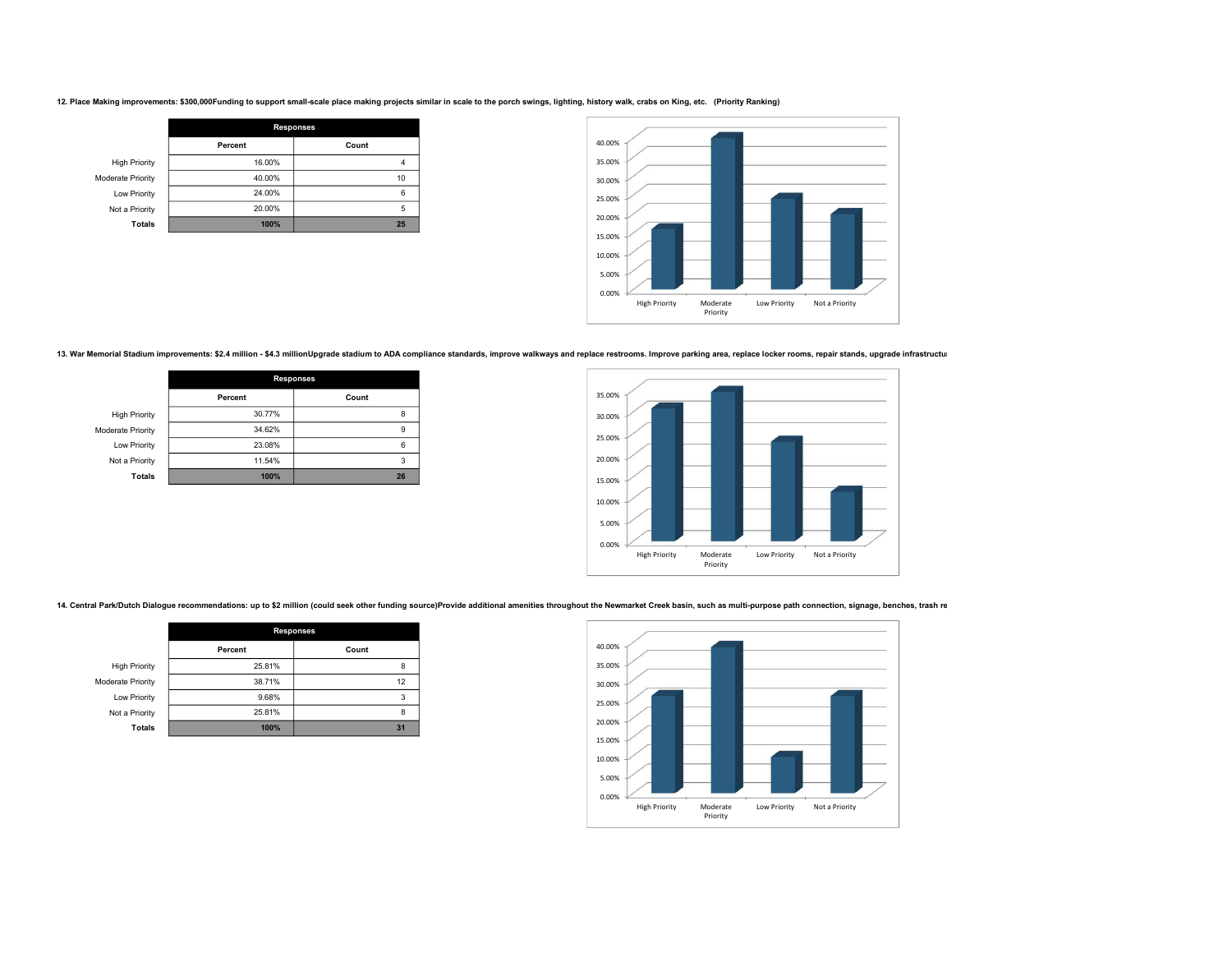12. Place Making improvements: \$300,000Funding to support small-scale place making projects similar in scale to the porch swings, lighting, history walk, crabs on King, etc. (Priority Ranking)

|                      | <b>Responses</b> |       |
|----------------------|------------------|-------|
|                      | Percent          | Count |
| <b>High Priority</b> | 16.00%           |       |
| Moderate Priority    | 40.00%           | 10    |
| Low Priority         | 24.00%           | 6     |
| Not a Priority       | 20.00%           | 5     |
| <b>Totals</b>        | 100%             | 25    |



13. War Memorial Stadium improvements: \$2.4 million - \$4.3 millionUpgrade stadium to ADA compliance standards, improve walkways and replace restrooms. Improve parking area, replace locker rooms, repair stands, upgrade infr

|                      | <b>Responses</b> |       |
|----------------------|------------------|-------|
|                      | Percent          | Count |
| <b>High Priority</b> | 30.77%           | 8     |
| Moderate Priority    | 34.62%           | 9     |
| Low Priority         | 23.08%           | 6     |
| Not a Priority       | 11.54%           | 3     |
| <b>Totals</b>        | 100%             | 26    |



14. Central Park/Dutch Dialogue recommendations: up to \$2 million (could seek other funding source)Provide additional amenities throughout the Newmarket Creek basin, such as multi-purpose path connection, signage, benches,

|                      | <b>Responses</b> |       |
|----------------------|------------------|-------|
|                      | Percent          | Count |
| <b>High Priority</b> | 25.81%           | 8     |
| Moderate Priority    | 38.71%           | 12    |
| Low Priority         | 9.68%            | 3     |
| Not a Priority       | 25.81%           | 8     |
| <b>Totals</b>        | 100%             | 31    |

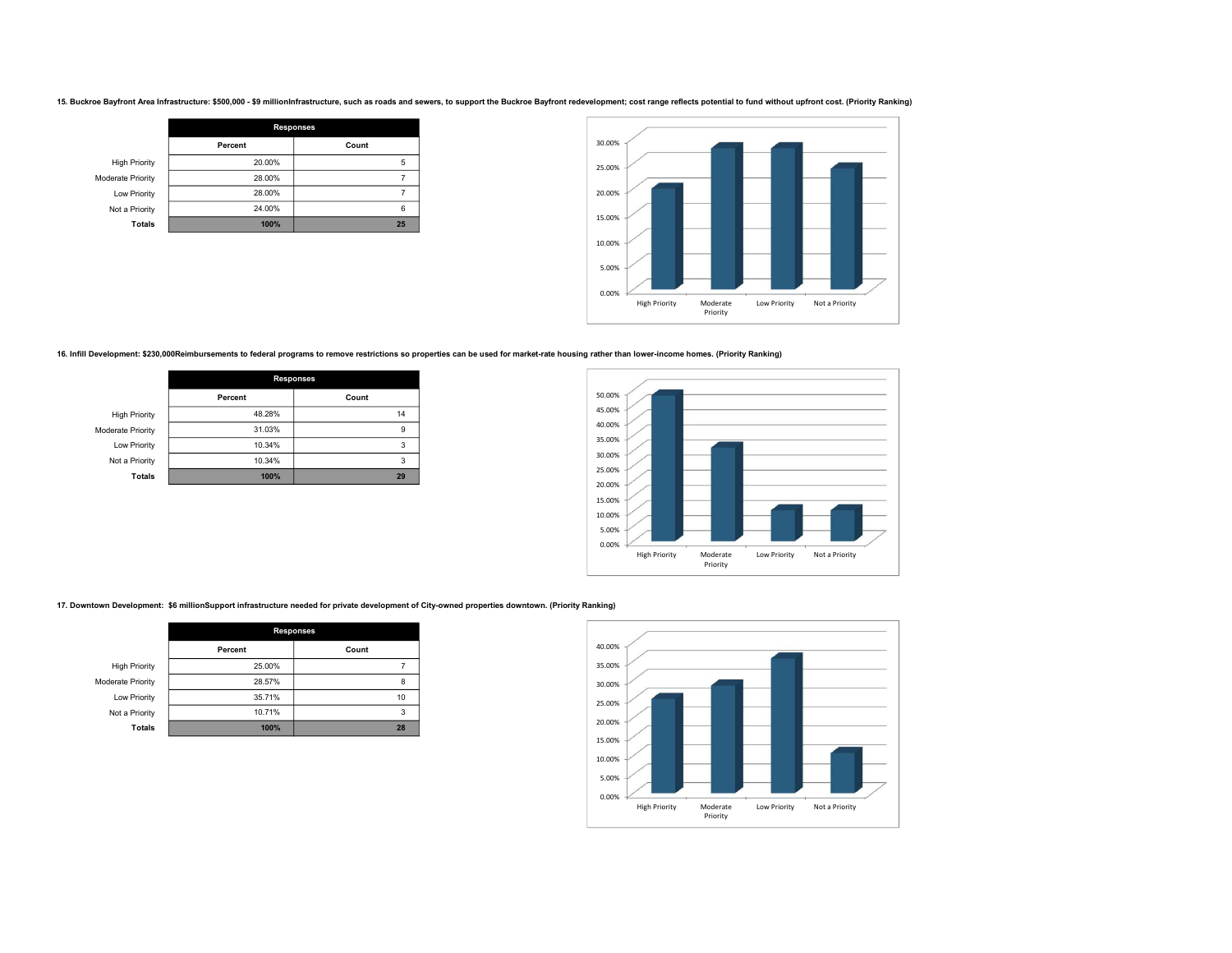15. Buckroe Bayfront Area Infrastructure: \$500,000 - \$9 millionInfrastructure, such as roads and sewers, to support the Buckroe Bayfront redevelopment; cost range reflects potential to fund without upfront cost. (Priority

|                      | <b>Responses</b> |       |
|----------------------|------------------|-------|
|                      | Percent          | Count |
| <b>High Priority</b> | 20.00%           | 5     |
| Moderate Priority    | 28.00%           |       |
| Low Priority         | 28.00%           |       |
| Not a Priority       | 24.00%           | 6     |
| <b>Totals</b>        | 100%             | 25    |



16. Infill Development: \$230,000Reimbursements to federal programs to remove restrictions so properties can be used for market-rate housing rather than lower-income homes. (Priority Ranking)

|                      | <b>Responses</b> |       |
|----------------------|------------------|-------|
|                      | Percent          | Count |
| <b>High Priority</b> | 48.28%           | 14    |
| Moderate Priority    | 31.03%           | 9     |
| Low Priority         | 10.34%           | 3     |
| Not a Priority       | 10.34%           | 3     |
| <b>Totals</b>        | 100%             | 29    |



17. Downtown Development: \$6 millionSupport infrastructure needed for private development of City-owned properties downtown. (Priority Ranking)

|                          | <b>Responses</b> |       |
|--------------------------|------------------|-------|
|                          | Percent          | Count |
| <b>High Priority</b>     | 25.00%           |       |
| <b>Moderate Priority</b> | 28.57%           | 8     |
| Low Priority             | 35.71%           | 10    |
| Not a Priority           | 10.71%           | 3     |
| <b>Totals</b>            | 100%             | 28    |

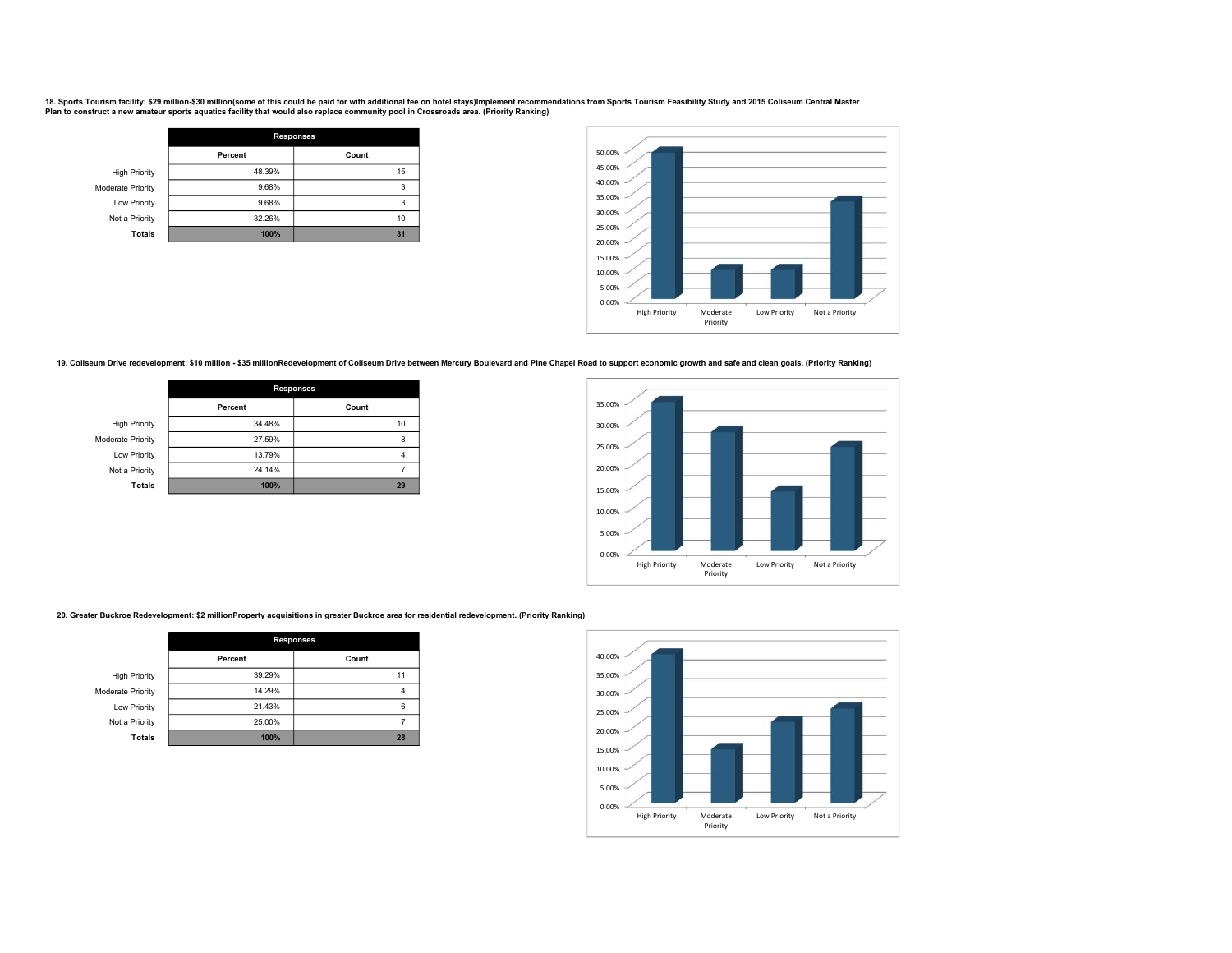18. Sports Tourism facility: \$29 million-\$30 million(some of this could be paid for with additional fee on hotel stays)Implement recommendations from Sports Tourism Feasibility Study and 2015 Coliseum Central Master Plan to construct a new amateur sports aquatics facility that would also replace community pool in Crossroads area. (Priority Ranking)

|                      | <b>Responses</b> |       |
|----------------------|------------------|-------|
|                      | Percent          | Count |
| <b>High Priority</b> | 48.39%           | 15    |
| Moderate Priority    | 9.68%            |       |
| Low Priority         | 9.68%            |       |
| Not a Priority       | 32.26%           | 10    |
| <b>Totals</b>        | 100%             | 31    |



19. Coliseum Drive redevelopment: \$10 million - \$35 millionRedevelopment of Coliseum Drive between Mercury Boulevard and Pine Chapel Road to support economic growth and safe and clean goals. (Priority Ranking)

|                      | <b>Responses</b> |       |
|----------------------|------------------|-------|
|                      | Percent          | Count |
| <b>High Priority</b> | 34.48%           | 10    |
| Moderate Priority    | 27.59%           | 8     |
| Low Priority         | 13.79%           |       |
| Not a Priority       | 24.14%           |       |
| <b>Totals</b>        | 100%             | 29    |



20. Greater Buckroe Redevelopment: \$2 millionProperty acquisitions in greater Buckroe area for residential redevelopment. (Priority Ranking)

|                          | <b>Responses</b> |       |
|--------------------------|------------------|-------|
|                          | Percent          | Count |
| <b>High Priority</b>     | 39.29%           | 11    |
| <b>Moderate Priority</b> | 14.29%           | 4     |
| Low Priority             | 21.43%           | 6     |
| Not a Priority           | 25.00%           |       |
| <b>Totals</b>            | 100%             | 28    |

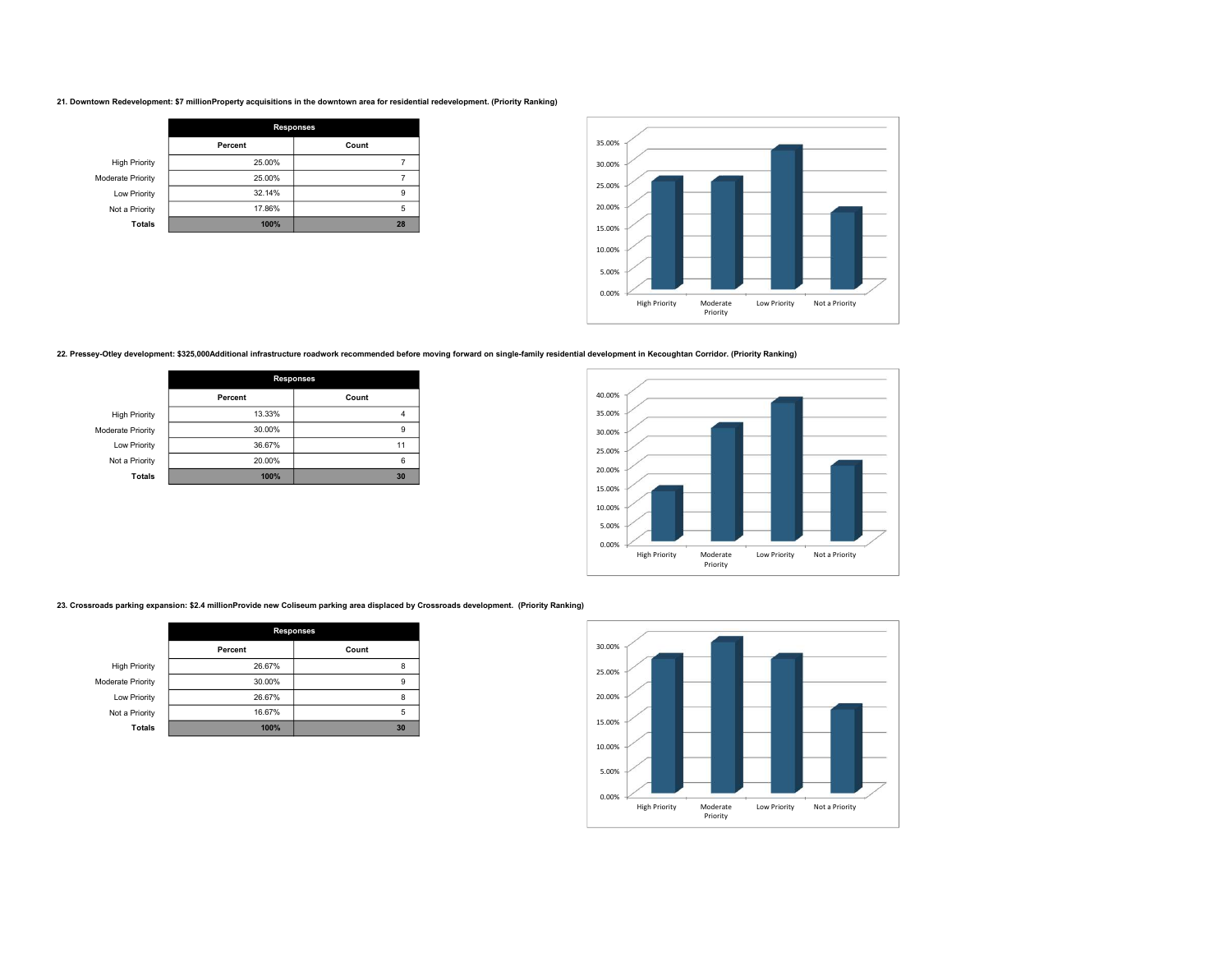#### 21. Downtown Redevelopment: \$7 millionProperty acquisitions in the downtown area for residential redevelopment. (Priority Ranking)

|                      | <b>Responses</b> |       |
|----------------------|------------------|-------|
|                      | Percent          | Count |
| <b>High Priority</b> | 25.00%           |       |
| Moderate Priority    | 25.00%           |       |
| Low Priority         | 32.14%           | 9     |
| Not a Priority       | 17.86%           | 5     |
| <b>Totals</b>        | 100%             | 28    |



# 22. Pressey-Otley development: \$325,000Additional infrastructure roadwork recommended before moving forward on single-family residential development in Kecoughtan Corridor. (Priority Ranking)

|                      | <b>Responses</b> |       |
|----------------------|------------------|-------|
|                      | Percent          | Count |
| <b>High Priority</b> | 13.33%           |       |
| Moderate Priority    | 30.00%           | 9     |
| Low Priority         | 36.67%           | 11    |
| Not a Priority       | 20.00%           | 6     |
| <b>Totals</b>        | 100%             | 30    |



23. Crossroads parking expansion: \$2.4 millionProvide new Coliseum parking area displaced by Crossroads development. (Priority Ranking)

|                      | <b>Responses</b> |       |
|----------------------|------------------|-------|
|                      | Percent          | Count |
| <b>High Priority</b> | 26.67%           | 8     |
| Moderate Priority    | 30.00%           | 9     |
| Low Priority         | 26.67%           | 8     |
| Not a Priority       | 16.67%           | 5     |
| <b>Totals</b>        | 100%             | 30    |

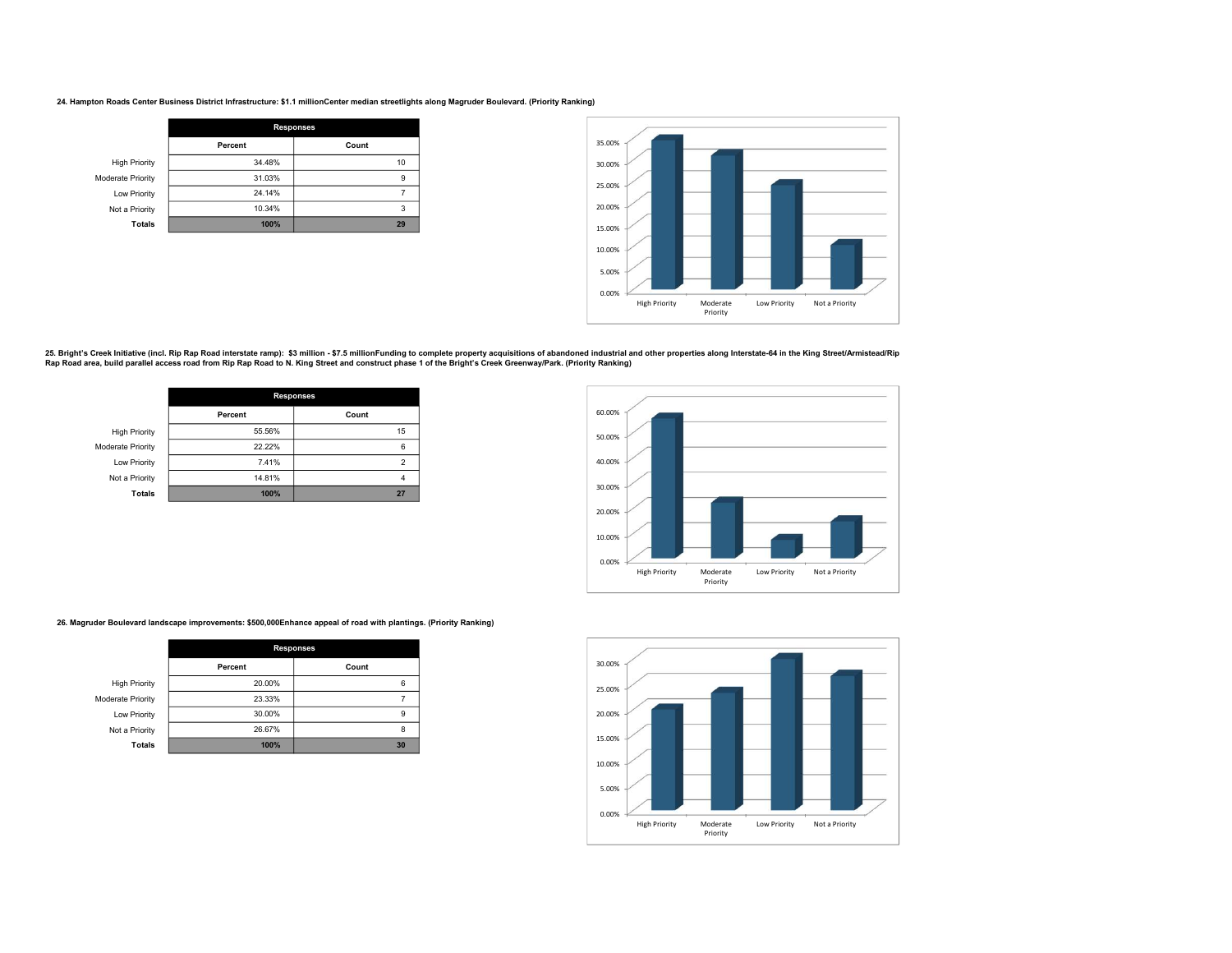#### 24. Hampton Roads Center Business District Infrastructure: \$1.1 millionCenter median streetlights along Magruder Boulevard. (Priority Ranking)

|                          | <b>Responses</b> |       |
|--------------------------|------------------|-------|
|                          | Percent          | Count |
| <b>High Priority</b>     | 34.48%           | 10    |
| <b>Moderate Priority</b> | 31.03%           | 9     |
| Low Priority             | 24.14%           |       |
| Not a Priority           | 10.34%           | 3     |
| <b>Totals</b>            | 100%             | 29    |



25. Bright's Creek Initiative (incl. Rip Rap Road interstate ramp): \$3 million - \$7.5 millionFunding to complete property acquisitions of abandoned industrial and other properties along Interstate-64 in the King Street/Ar

|                      | <b>Responses</b> |       |
|----------------------|------------------|-------|
|                      | Percent          | Count |
| <b>High Priority</b> | 55.56%           | 15    |
| Moderate Priority    | 22.22%           | 6     |
| Low Priority         | 7.41%            | 2     |
| Not a Priority       | 14.81%           |       |
| <b>Totals</b>        | 100%             | 27    |



26. Magruder Boulevard landscape improvements: \$500,000Enhance appeal of road with plantings. (Priority Ranking)

|                      | <b>Responses</b> |       |
|----------------------|------------------|-------|
|                      | Percent          | Count |
| <b>High Priority</b> | 20.00%           | 6     |
| Moderate Priority    | 23.33%           |       |
| Low Priority         | 30.00%           | 9     |
| Not a Priority       | 26.67%           | 8     |
| <b>Totals</b>        | 100%             | 30    |

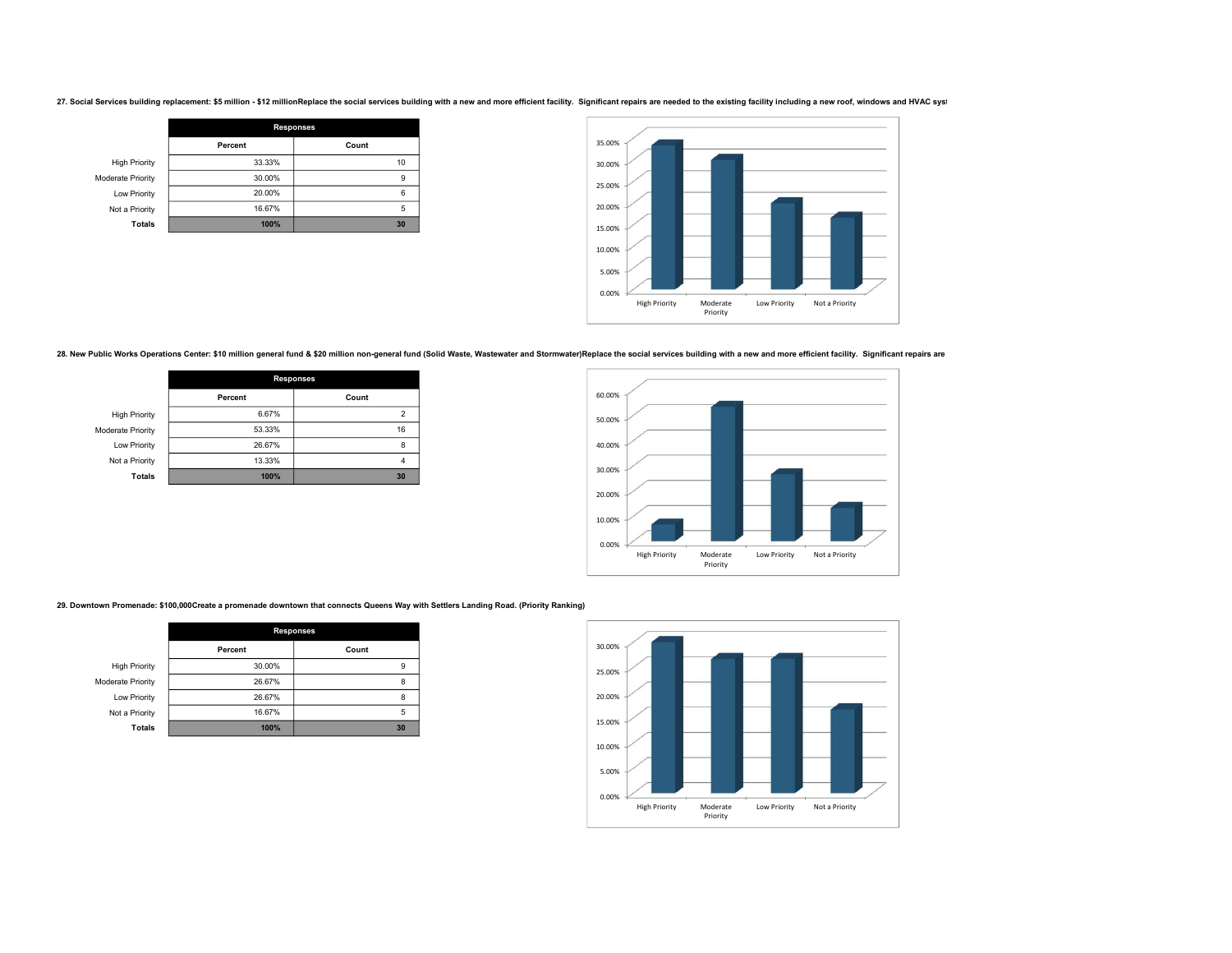27. Social Services building replacement: \$5 million - \$12 millionReplace the social services building with a new and more efficient facility. Significant repairs are needed to the existing facility including a new roof, w

|                      | <b>Responses</b> |       |
|----------------------|------------------|-------|
|                      | Percent          | Count |
| <b>High Priority</b> | 33.33%           | 10    |
| Moderate Priority    | 30.00%           | 9     |
| Low Priority         | 20.00%           | 6     |
| Not a Priority       | 16.67%           | 5     |
| <b>Totals</b>        | 100%             | 30    |



28. New Public Works Operations Center: \$10 million general fund & \$20 million non-general fund (Solid Waste, Wastewater and Stormwater)Replace the social services building with a new and more efficient facility. Significa

|                      | <b>Responses</b> |       |
|----------------------|------------------|-------|
|                      | Percent          | Count |
| <b>High Priority</b> | 6.67%            |       |
| Moderate Priority    | 53.33%           | 16    |
| Low Priority         | 26.67%           | 8     |
| Not a Priority       | 13.33%           |       |
| <b>Totals</b>        | 100%             | 30    |



29. Downtown Promenade: \$100,000Create a promenade downtown that connects Queens Way with Settlers Landing Road. (Priority Ranking)

|                      | <b>Responses</b> |       |
|----------------------|------------------|-------|
|                      | Percent          | Count |
| <b>High Priority</b> | 30.00%           | 9     |
| Moderate Priority    | 26.67%           | 8     |
| Low Priority         | 26.67%           | 8     |
| Not a Priority       | 16.67%           | 5     |
| <b>Totals</b>        | 100%             | 30    |